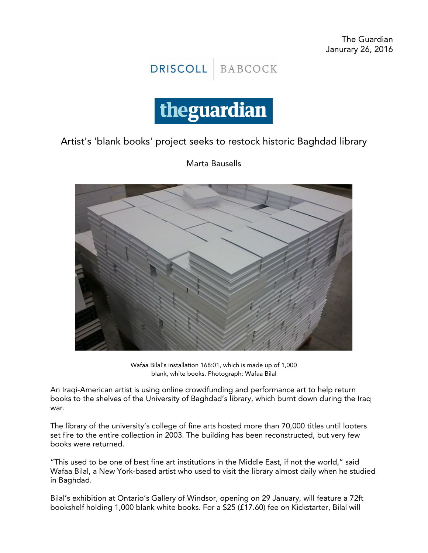



Artist's 'blank books' project seeks to restock historic Baghdad library

Marta Bausells



Wafaa Bilal's installation 168:01, which is made up of 1,000 blank, white books. Photograph: Wafaa Bilal

An Iraqi-American artist is using online crowdfunding and performance art to help return books to the shelves of the University of Baghdad's library, which burnt down during the Iraq war.

The library of the university's college of fine arts hosted more than 70,000 titles until looters set fire to the entire collection in 2003. The building has been reconstructed, but very few books were returned.

"This used to be one of best fine art institutions in the Middle East, if not the world," said Wafaa Bilal, a New York-based artist who used to visit the library almost daily when he studied in Baghdad.

Bilal's exhibition at Ontario's Gallery of Windsor, opening on 29 January, will feature a 72ft bookshelf holding 1,000 blank white books. For a \$25 (£17.60) fee on Kickstarter, Bilal will